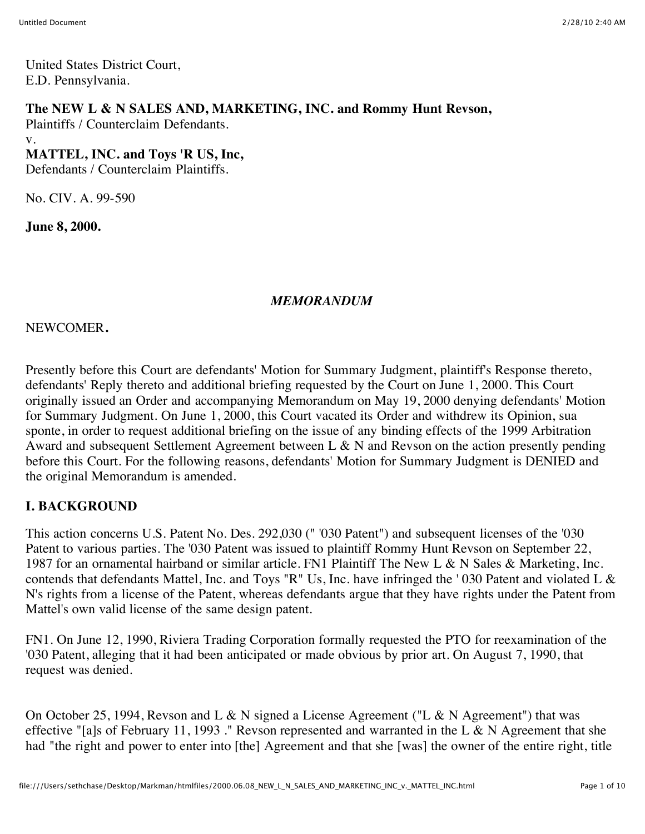United States District Court, E.D. Pennsylvania.

#### **The NEW L & N SALES AND, MARKETING, INC. and Rommy Hunt Revson,**

Plaintiffs / Counterclaim Defendants.

#### v. **MATTEL, INC. and Toys 'R US, Inc,**

Defendants / Counterclaim Plaintiffs.

No. CIV. A. 99-590

**June 8, 2000.**

#### *MEMORANDUM*

NEWCOMER**.**

Presently before this Court are defendants' Motion for Summary Judgment, plaintiff's Response thereto, defendants' Reply thereto and additional briefing requested by the Court on June 1, 2000. This Court originally issued an Order and accompanying Memorandum on May 19, 2000 denying defendants' Motion for Summary Judgment. On June 1, 2000, this Court vacated its Order and withdrew its Opinion, sua sponte, in order to request additional briefing on the issue of any binding effects of the 1999 Arbitration Award and subsequent Settlement Agreement between L & N and Revson on the action presently pending before this Court. For the following reasons, defendants' Motion for Summary Judgment is DENIED and the original Memorandum is amended.

## **I. BACKGROUND**

This action concerns U.S. Patent No. Des. 292,030 (" '030 Patent") and subsequent licenses of the '030 Patent to various parties. The '030 Patent was issued to plaintiff Rommy Hunt Revson on September 22, 1987 for an ornamental hairband or similar article. FN1 Plaintiff The New L & N Sales & Marketing, Inc. contends that defendants Mattel, Inc. and Toys "R" Us, Inc. have infringed the ' 030 Patent and violated L & N's rights from a license of the Patent, whereas defendants argue that they have rights under the Patent from Mattel's own valid license of the same design patent.

FN1. On June 12, 1990, Riviera Trading Corporation formally requested the PTO for reexamination of the '030 Patent, alleging that it had been anticipated or made obvious by prior art. On August 7, 1990, that request was denied.

On October 25, 1994, Revson and L & N signed a License Agreement ("L & N Agreement") that was effective "[a]s of February 11, 1993 ." Revson represented and warranted in the L & N Agreement that she had "the right and power to enter into [the] Agreement and that she [was] the owner of the entire right, title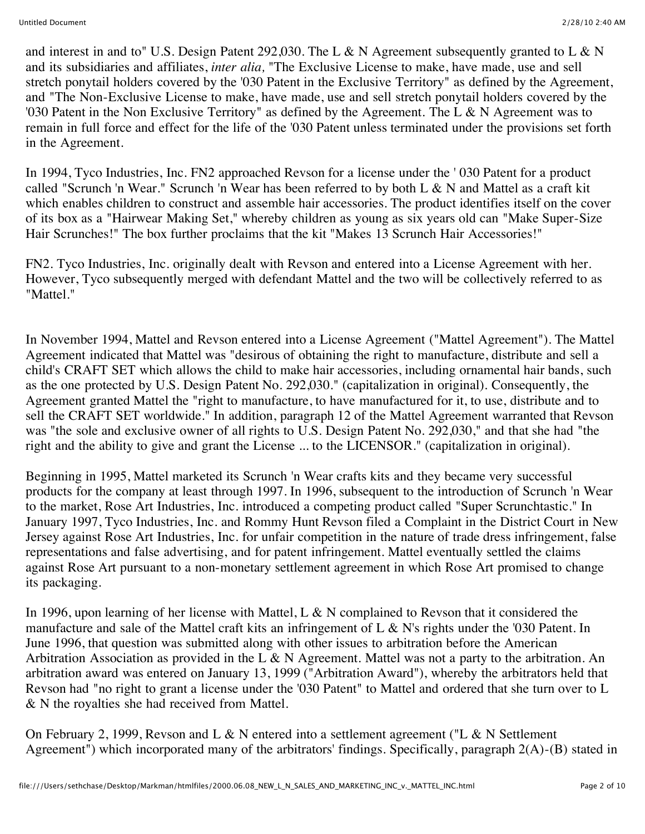and interest in and to" U.S. Design Patent 292,030. The L & N Agreement subsequently granted to L & N and its subsidiaries and affiliates, *inter alia,* "The Exclusive License to make, have made, use and sell stretch ponytail holders covered by the '030 Patent in the Exclusive Territory" as defined by the Agreement, and "The Non-Exclusive License to make, have made, use and sell stretch ponytail holders covered by the '030 Patent in the Non Exclusive Territory" as defined by the Agreement. The L & N Agreement was to remain in full force and effect for the life of the '030 Patent unless terminated under the provisions set forth in the Agreement.

In 1994, Tyco Industries, Inc. FN2 approached Revson for a license under the ' 030 Patent for a product called "Scrunch 'n Wear." Scrunch 'n Wear has been referred to by both L & N and Mattel as a craft kit which enables children to construct and assemble hair accessories. The product identifies itself on the cover of its box as a "Hairwear Making Set," whereby children as young as six years old can "Make Super-Size Hair Scrunches!" The box further proclaims that the kit "Makes 13 Scrunch Hair Accessories!"

FN2. Tyco Industries, Inc. originally dealt with Revson and entered into a License Agreement with her. However, Tyco subsequently merged with defendant Mattel and the two will be collectively referred to as "Mattel."

In November 1994, Mattel and Revson entered into a License Agreement ("Mattel Agreement"). The Mattel Agreement indicated that Mattel was "desirous of obtaining the right to manufacture, distribute and sell a child's CRAFT SET which allows the child to make hair accessories, including ornamental hair bands, such as the one protected by U.S. Design Patent No. 292,030." (capitalization in original). Consequently, the Agreement granted Mattel the "right to manufacture, to have manufactured for it, to use, distribute and to sell the CRAFT SET worldwide." In addition, paragraph 12 of the Mattel Agreement warranted that Revson was "the sole and exclusive owner of all rights to U.S. Design Patent No. 292,030," and that she had "the right and the ability to give and grant the License ... to the LICENSOR." (capitalization in original).

Beginning in 1995, Mattel marketed its Scrunch 'n Wear crafts kits and they became very successful products for the company at least through 1997. In 1996, subsequent to the introduction of Scrunch 'n Wear to the market, Rose Art Industries, Inc. introduced a competing product called "Super Scrunchtastic." In January 1997, Tyco Industries, Inc. and Rommy Hunt Revson filed a Complaint in the District Court in New Jersey against Rose Art Industries, Inc. for unfair competition in the nature of trade dress infringement, false representations and false advertising, and for patent infringement. Mattel eventually settled the claims against Rose Art pursuant to a non-monetary settlement agreement in which Rose Art promised to change its packaging.

In 1996, upon learning of her license with Mattel, L & N complained to Revson that it considered the manufacture and sale of the Mattel craft kits an infringement of L & N's rights under the '030 Patent. In June 1996, that question was submitted along with other issues to arbitration before the American Arbitration Association as provided in the L & N Agreement. Mattel was not a party to the arbitration. An arbitration award was entered on January 13, 1999 ("Arbitration Award"), whereby the arbitrators held that Revson had "no right to grant a license under the '030 Patent" to Mattel and ordered that she turn over to L & N the royalties she had received from Mattel.

On February 2, 1999, Revson and L & N entered into a settlement agreement ("L & N Settlement") Agreement") which incorporated many of the arbitrators' findings. Specifically, paragraph 2(A)-(B) stated in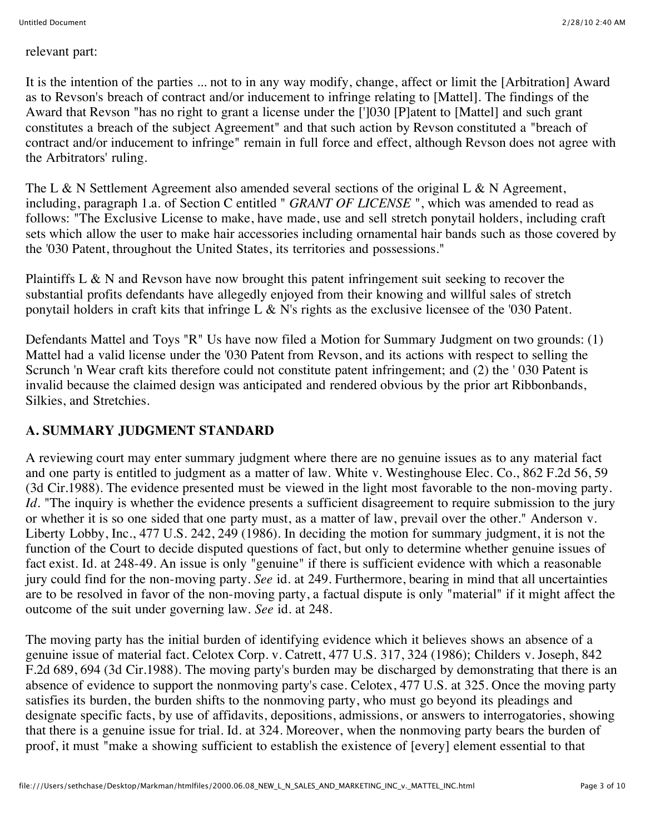relevant part:

It is the intention of the parties ... not to in any way modify, change, affect or limit the [Arbitration] Award as to Revson's breach of contract and/or inducement to infringe relating to [Mattel]. The findings of the Award that Revson "has no right to grant a license under the [']030 [P]atent to [Mattel] and such grant constitutes a breach of the subject Agreement" and that such action by Revson constituted a "breach of contract and/or inducement to infringe" remain in full force and effect, although Revson does not agree with the Arbitrators' ruling.

The L & N Settlement Agreement also amended several sections of the original L & N Agreement, including, paragraph 1.a. of Section C entitled " *GRANT OF LICENSE* ", which was amended to read as follows: "The Exclusive License to make, have made, use and sell stretch ponytail holders, including craft sets which allow the user to make hair accessories including ornamental hair bands such as those covered by the '030 Patent, throughout the United States, its territories and possessions."

Plaintiffs L & N and Revson have now brought this patent infringement suit seeking to recover the substantial profits defendants have allegedly enjoyed from their knowing and willful sales of stretch ponytail holders in craft kits that infringe L & N's rights as the exclusive licensee of the '030 Patent.

Defendants Mattel and Toys "R" Us have now filed a Motion for Summary Judgment on two grounds: (1) Mattel had a valid license under the '030 Patent from Revson, and its actions with respect to selling the Scrunch 'n Wear craft kits therefore could not constitute patent infringement; and (2) the ' 030 Patent is invalid because the claimed design was anticipated and rendered obvious by the prior art Ribbonbands, Silkies, and Stretchies.

## **A. SUMMARY JUDGMENT STANDARD**

A reviewing court may enter summary judgment where there are no genuine issues as to any material fact and one party is entitled to judgment as a matter of law. White v. Westinghouse Elec. Co., 862 F.2d 56, 59 (3d Cir.1988). The evidence presented must be viewed in the light most favorable to the non-moving party. *Id.* "The inquiry is whether the evidence presents a sufficient disagreement to require submission to the jury or whether it is so one sided that one party must, as a matter of law, prevail over the other." Anderson v. Liberty Lobby, Inc., 477 U.S. 242, 249 (1986). In deciding the motion for summary judgment, it is not the function of the Court to decide disputed questions of fact, but only to determine whether genuine issues of fact exist. Id. at 248-49. An issue is only "genuine" if there is sufficient evidence with which a reasonable jury could find for the non-moving party. *See* id. at 249. Furthermore, bearing in mind that all uncertainties are to be resolved in favor of the non-moving party, a factual dispute is only "material" if it might affect the outcome of the suit under governing law. *See* id. at 248.

The moving party has the initial burden of identifying evidence which it believes shows an absence of a genuine issue of material fact. Celotex Corp. v. Catrett, 477 U.S. 317, 324 (1986); Childers v. Joseph, 842 F.2d 689, 694 (3d Cir.1988). The moving party's burden may be discharged by demonstrating that there is an absence of evidence to support the nonmoving party's case. Celotex, 477 U.S. at 325. Once the moving party satisfies its burden, the burden shifts to the nonmoving party, who must go beyond its pleadings and designate specific facts, by use of affidavits, depositions, admissions, or answers to interrogatories, showing that there is a genuine issue for trial. Id. at 324. Moreover, when the nonmoving party bears the burden of proof, it must "make a showing sufficient to establish the existence of [every] element essential to that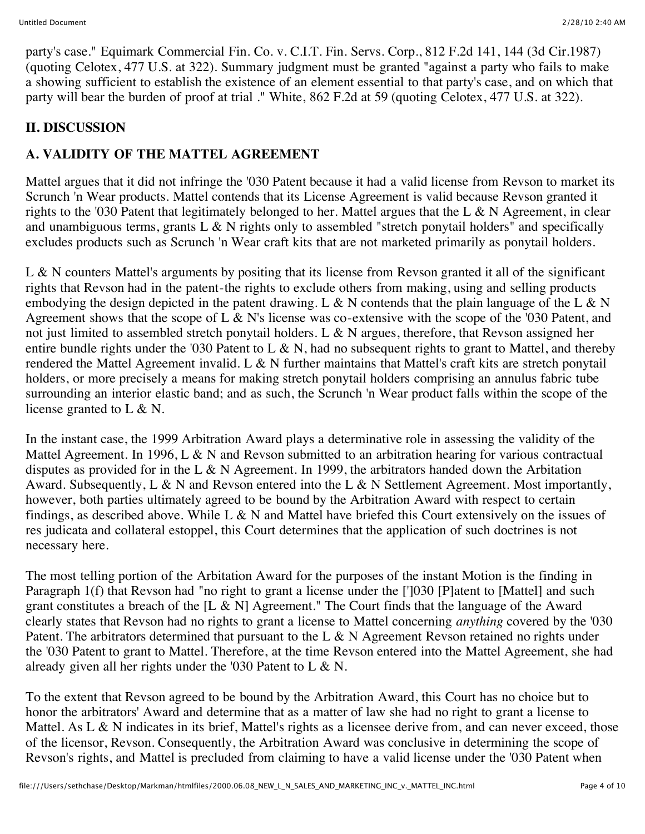party's case." Equimark Commercial Fin. Co. v. C.I.T. Fin. Servs. Corp., 812 F.2d 141, 144 (3d Cir.1987) (quoting Celotex, 477 U.S. at 322). Summary judgment must be granted "against a party who fails to make a showing sufficient to establish the existence of an element essential to that party's case, and on which that party will bear the burden of proof at trial ." White, 862 F.2d at 59 (quoting Celotex, 477 U.S. at 322).

#### **II. DISCUSSION**

## **A. VALIDITY OF THE MATTEL AGREEMENT**

Mattel argues that it did not infringe the '030 Patent because it had a valid license from Revson to market its Scrunch 'n Wear products. Mattel contends that its License Agreement is valid because Revson granted it rights to the '030 Patent that legitimately belonged to her. Mattel argues that the L & N Agreement, in clear and unambiguous terms, grants  $L \& N$  rights only to assembled "stretch ponytail holders" and specifically excludes products such as Scrunch 'n Wear craft kits that are not marketed primarily as ponytail holders.

L & N counters Mattel's arguments by positing that its license from Revson granted it all of the significant rights that Revson had in the patent-the rights to exclude others from making, using and selling products embodying the design depicted in the patent drawing. L & N contends that the plain language of the L & N Agreement shows that the scope of L & N's license was co-extensive with the scope of the '030 Patent, and not just limited to assembled stretch ponytail holders. L & N argues, therefore, that Revson assigned her entire bundle rights under the '030 Patent to L & N, had no subsequent rights to grant to Mattel, and thereby rendered the Mattel Agreement invalid. L & N further maintains that Mattel's craft kits are stretch ponytail holders, or more precisely a means for making stretch ponytail holders comprising an annulus fabric tube surrounding an interior elastic band; and as such, the Scrunch 'n Wear product falls within the scope of the license granted to L & N.

In the instant case, the 1999 Arbitration Award plays a determinative role in assessing the validity of the Mattel Agreement. In 1996, L & N and Revson submitted to an arbitration hearing for various contractual disputes as provided for in the L & N Agreement. In 1999, the arbitrators handed down the Arbitation Award. Subsequently,  $L \& N$  and Revson entered into the L  $\& N$  Settlement Agreement. Most importantly, however, both parties ultimately agreed to be bound by the Arbitration Award with respect to certain findings, as described above. While L  $\&$  N and Mattel have briefed this Court extensively on the issues of res judicata and collateral estoppel, this Court determines that the application of such doctrines is not necessary here.

The most telling portion of the Arbitation Award for the purposes of the instant Motion is the finding in Paragraph 1(f) that Revson had "no right to grant a license under the ['1030 [P]atent to [Mattel] and such grant constitutes a breach of the [L & N] Agreement." The Court finds that the language of the Award clearly states that Revson had no rights to grant a license to Mattel concerning *anything* covered by the '030 Patent. The arbitrators determined that pursuant to the L & N Agreement Revson retained no rights under the '030 Patent to grant to Mattel. Therefore, at the time Revson entered into the Mattel Agreement, she had already given all her rights under the '030 Patent to L & N.

To the extent that Revson agreed to be bound by the Arbitration Award, this Court has no choice but to honor the arbitrators' Award and determine that as a matter of law she had no right to grant a license to Mattel. As L & N indicates in its brief, Mattel's rights as a licensee derive from, and can never exceed, those of the licensor, Revson. Consequently, the Arbitration Award was conclusive in determining the scope of Revson's rights, and Mattel is precluded from claiming to have a valid license under the '030 Patent when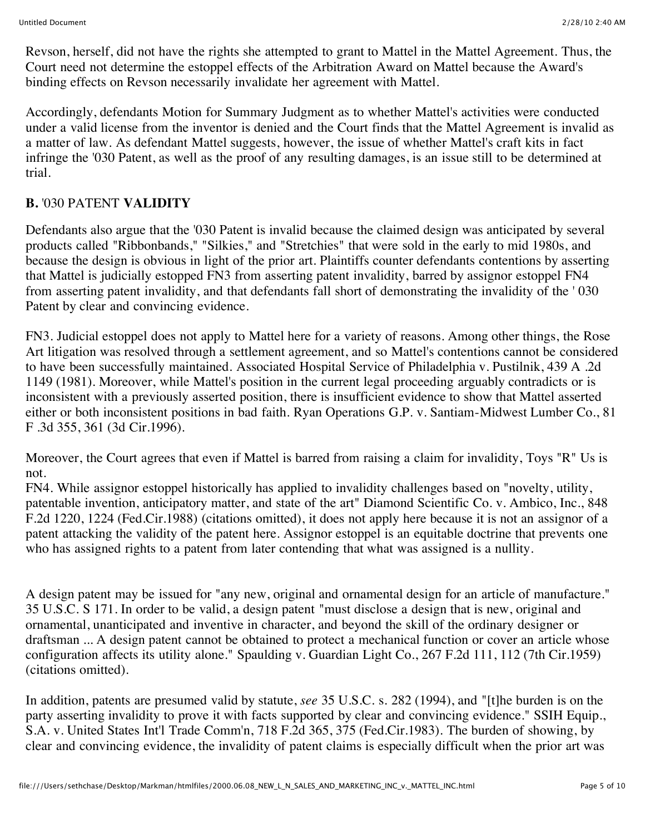Revson, herself, did not have the rights she attempted to grant to Mattel in the Mattel Agreement. Thus, the Court need not determine the estoppel effects of the Arbitration Award on Mattel because the Award's binding effects on Revson necessarily invalidate her agreement with Mattel.

Accordingly, defendants Motion for Summary Judgment as to whether Mattel's activities were conducted under a valid license from the inventor is denied and the Court finds that the Mattel Agreement is invalid as a matter of law. As defendant Mattel suggests, however, the issue of whether Mattel's craft kits in fact infringe the '030 Patent, as well as the proof of any resulting damages, is an issue still to be determined at trial.

#### **B.** '030 PATENT **VALIDITY**

Defendants also argue that the '030 Patent is invalid because the claimed design was anticipated by several products called "Ribbonbands," "Silkies," and "Stretchies" that were sold in the early to mid 1980s, and because the design is obvious in light of the prior art. Plaintiffs counter defendants contentions by asserting that Mattel is judicially estopped FN3 from asserting patent invalidity, barred by assignor estoppel FN4 from asserting patent invalidity, and that defendants fall short of demonstrating the invalidity of the ' 030 Patent by clear and convincing evidence.

FN3. Judicial estoppel does not apply to Mattel here for a variety of reasons. Among other things, the Rose Art litigation was resolved through a settlement agreement, and so Mattel's contentions cannot be considered to have been successfully maintained. Associated Hospital Service of Philadelphia v. Pustilnik, 439 A .2d 1149 (1981). Moreover, while Mattel's position in the current legal proceeding arguably contradicts or is inconsistent with a previously asserted position, there is insufficient evidence to show that Mattel asserted either or both inconsistent positions in bad faith. Ryan Operations G.P. v. Santiam-Midwest Lumber Co., 81 F .3d 355, 361 (3d Cir.1996).

Moreover, the Court agrees that even if Mattel is barred from raising a claim for invalidity, Toys "R" Us is not.

FN4. While assignor estoppel historically has applied to invalidity challenges based on "novelty, utility, patentable invention, anticipatory matter, and state of the art" Diamond Scientific Co. v. Ambico, Inc., 848 F.2d 1220, 1224 (Fed.Cir.1988) (citations omitted), it does not apply here because it is not an assignor of a patent attacking the validity of the patent here. Assignor estoppel is an equitable doctrine that prevents one who has assigned rights to a patent from later contending that what was assigned is a nullity.

A design patent may be issued for "any new, original and ornamental design for an article of manufacture." 35 U.S.C. S 171. In order to be valid, a design patent "must disclose a design that is new, original and ornamental, unanticipated and inventive in character, and beyond the skill of the ordinary designer or draftsman ... A design patent cannot be obtained to protect a mechanical function or cover an article whose configuration affects its utility alone." Spaulding v. Guardian Light Co., 267 F.2d 111, 112 (7th Cir.1959) (citations omitted).

In addition, patents are presumed valid by statute, *see* 35 U.S.C. s. 282 (1994), and "[t]he burden is on the party asserting invalidity to prove it with facts supported by clear and convincing evidence." SSIH Equip., S.A. v. United States Int'l Trade Comm'n, 718 F.2d 365, 375 (Fed.Cir.1983). The burden of showing, by clear and convincing evidence, the invalidity of patent claims is especially difficult when the prior art was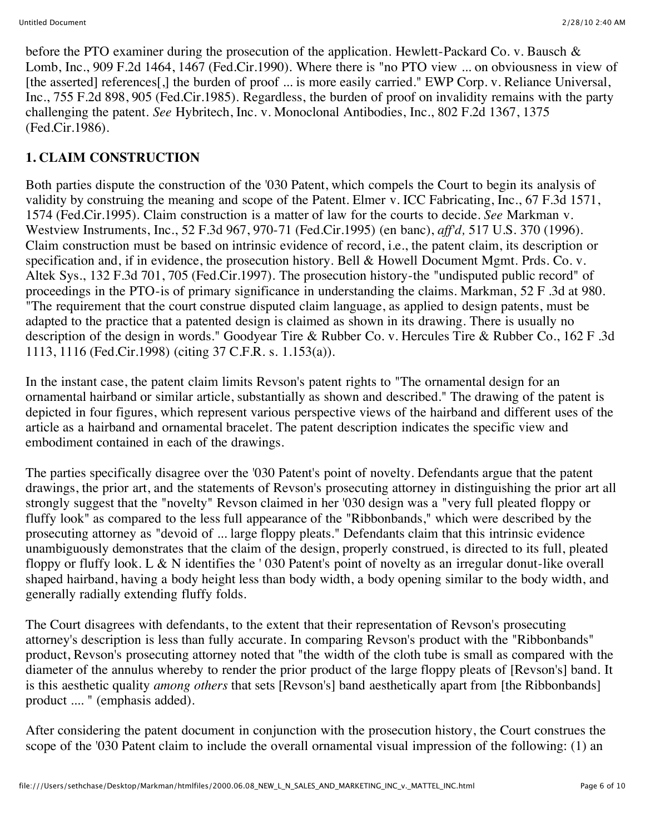before the PTO examiner during the prosecution of the application. Hewlett-Packard Co. v. Bausch & Lomb, Inc., 909 F.2d 1464, 1467 (Fed.Cir.1990). Where there is "no PTO view ... on obviousness in view of [the asserted] references<sup>[1]</sup>, the burden of proof ... is more easily carried." EWP Corp. v. Reliance Universal, Inc., 755 F.2d 898, 905 (Fed.Cir.1985). Regardless, the burden of proof on invalidity remains with the party challenging the patent. *See* Hybritech, Inc. v. Monoclonal Antibodies, Inc., 802 F.2d 1367, 1375 (Fed.Cir.1986).

# **1. CLAIM CONSTRUCTION**

Both parties dispute the construction of the '030 Patent, which compels the Court to begin its analysis of validity by construing the meaning and scope of the Patent. Elmer v. ICC Fabricating, Inc., 67 F.3d 1571, 1574 (Fed.Cir.1995). Claim construction is a matter of law for the courts to decide. *See* Markman v. Westview Instruments, Inc., 52 F.3d 967, 970-71 (Fed.Cir.1995) (en banc), *aff'd,* 517 U.S. 370 (1996). Claim construction must be based on intrinsic evidence of record, i.e., the patent claim, its description or specification and, if in evidence, the prosecution history. Bell & Howell Document Mgmt. Prds. Co. v. Altek Sys., 132 F.3d 701, 705 (Fed.Cir.1997). The prosecution history-the "undisputed public record" of proceedings in the PTO-is of primary significance in understanding the claims. Markman, 52 F .3d at 980. "The requirement that the court construe disputed claim language, as applied to design patents, must be adapted to the practice that a patented design is claimed as shown in its drawing. There is usually no description of the design in words." Goodyear Tire & Rubber Co. v. Hercules Tire & Rubber Co., 162 F .3d 1113, 1116 (Fed.Cir.1998) (citing 37 C.F.R. s. 1.153(a)).

In the instant case, the patent claim limits Revson's patent rights to "The ornamental design for an ornamental hairband or similar article, substantially as shown and described." The drawing of the patent is depicted in four figures, which represent various perspective views of the hairband and different uses of the article as a hairband and ornamental bracelet. The patent description indicates the specific view and embodiment contained in each of the drawings.

The parties specifically disagree over the '030 Patent's point of novelty. Defendants argue that the patent drawings, the prior art, and the statements of Revson's prosecuting attorney in distinguishing the prior art all strongly suggest that the "novelty" Revson claimed in her '030 design was a "very full pleated floppy or fluffy look" as compared to the less full appearance of the "Ribbonbands," which were described by the prosecuting attorney as "devoid of ... large floppy pleats." Defendants claim that this intrinsic evidence unambiguously demonstrates that the claim of the design, properly construed, is directed to its full, pleated floppy or fluffy look. L & N identifies the ' 030 Patent's point of novelty as an irregular donut-like overall shaped hairband, having a body height less than body width, a body opening similar to the body width, and generally radially extending fluffy folds.

The Court disagrees with defendants, to the extent that their representation of Revson's prosecuting attorney's description is less than fully accurate. In comparing Revson's product with the "Ribbonbands" product, Revson's prosecuting attorney noted that "the width of the cloth tube is small as compared with the diameter of the annulus whereby to render the prior product of the large floppy pleats of [Revson's] band. It is this aesthetic quality *among others* that sets [Revson's] band aesthetically apart from [the Ribbonbands] product .... " (emphasis added).

After considering the patent document in conjunction with the prosecution history, the Court construes the scope of the '030 Patent claim to include the overall ornamental visual impression of the following: (1) an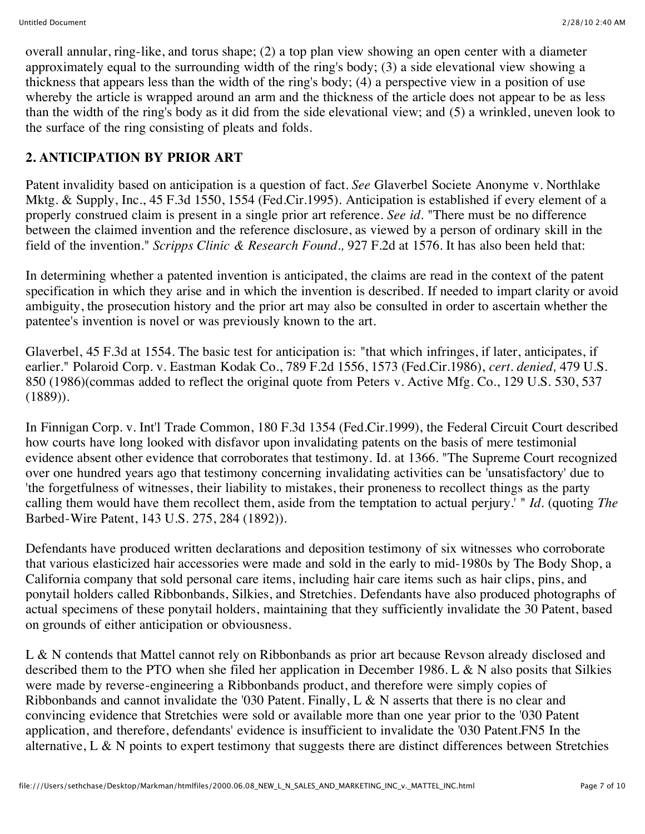overall annular, ring-like, and torus shape; (2) a top plan view showing an open center with a diameter approximately equal to the surrounding width of the ring's body; (3) a side elevational view showing a thickness that appears less than the width of the ring's body; (4) a perspective view in a position of use whereby the article is wrapped around an arm and the thickness of the article does not appear to be as less than the width of the ring's body as it did from the side elevational view; and (5) a wrinkled, uneven look to the surface of the ring consisting of pleats and folds.

# **2. ANTICIPATION BY PRIOR ART**

Patent invalidity based on anticipation is a question of fact. *See* Glaverbel Societe Anonyme v. Northlake Mktg. & Supply, Inc., 45 F.3d 1550, 1554 (Fed.Cir.1995). Anticipation is established if every element of a properly construed claim is present in a single prior art reference. *See id.* "There must be no difference between the claimed invention and the reference disclosure, as viewed by a person of ordinary skill in the field of the invention." *Scripps Clinic & Research Found.,* 927 F.2d at 1576. It has also been held that:

In determining whether a patented invention is anticipated, the claims are read in the context of the patent specification in which they arise and in which the invention is described. If needed to impart clarity or avoid ambiguity, the prosecution history and the prior art may also be consulted in order to ascertain whether the patentee's invention is novel or was previously known to the art.

Glaverbel, 45 F.3d at 1554. The basic test for anticipation is: "that which infringes, if later, anticipates, if earlier." Polaroid Corp. v. Eastman Kodak Co., 789 F.2d 1556, 1573 (Fed.Cir.1986), *cert. denied,* 479 U.S. 850 (1986)(commas added to reflect the original quote from Peters v. Active Mfg. Co., 129 U.S. 530, 537 (1889)).

In Finnigan Corp. v. Int'l Trade Common, 180 F.3d 1354 (Fed.Cir.1999), the Federal Circuit Court described how courts have long looked with disfavor upon invalidating patents on the basis of mere testimonial evidence absent other evidence that corroborates that testimony. Id. at 1366. "The Supreme Court recognized over one hundred years ago that testimony concerning invalidating activities can be 'unsatisfactory' due to 'the forgetfulness of witnesses, their liability to mistakes, their proneness to recollect things as the party calling them would have them recollect them, aside from the temptation to actual perjury.' " *Id.* (quoting *The* Barbed-Wire Patent, 143 U.S. 275, 284 (1892)).

Defendants have produced written declarations and deposition testimony of six witnesses who corroborate that various elasticized hair accessories were made and sold in the early to mid-1980s by The Body Shop, a California company that sold personal care items, including hair care items such as hair clips, pins, and ponytail holders called Ribbonbands, Silkies, and Stretchies. Defendants have also produced photographs of actual specimens of these ponytail holders, maintaining that they sufficiently invalidate the 30 Patent, based on grounds of either anticipation or obviousness.

L & N contends that Mattel cannot rely on Ribbonbands as prior art because Revson already disclosed and described them to the PTO when she filed her application in December 1986. L & N also posits that Silkies were made by reverse-engineering a Ribbonbands product, and therefore were simply copies of Ribbonbands and cannot invalidate the '030 Patent. Finally, L & N asserts that there is no clear and convincing evidence that Stretchies were sold or available more than one year prior to the '030 Patent application, and therefore, defendants' evidence is insufficient to invalidate the '030 Patent.FN5 In the alternative, L & N points to expert testimony that suggests there are distinct differences between Stretchies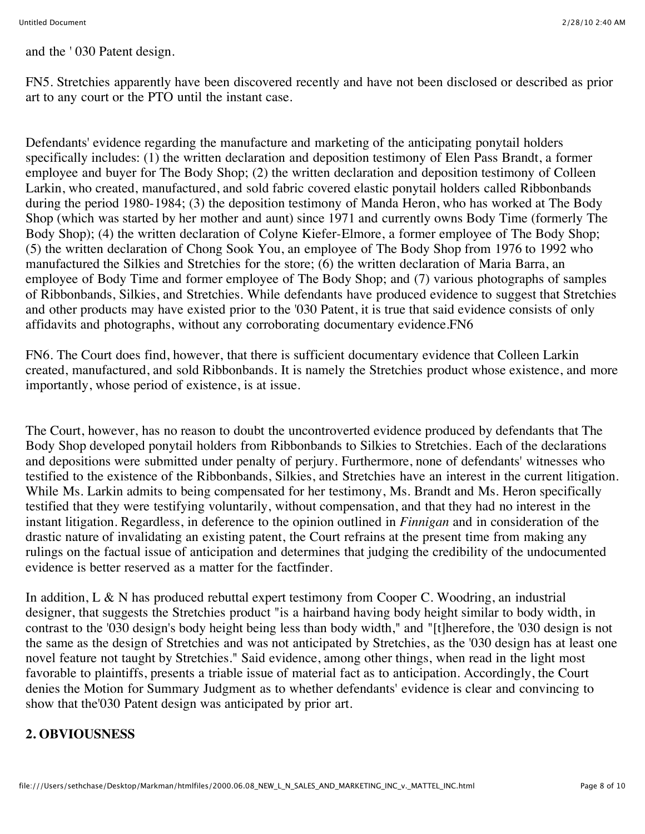and the ' 030 Patent design.

FN5. Stretchies apparently have been discovered recently and have not been disclosed or described as prior art to any court or the PTO until the instant case.

Defendants' evidence regarding the manufacture and marketing of the anticipating ponytail holders specifically includes: (1) the written declaration and deposition testimony of Elen Pass Brandt, a former employee and buyer for The Body Shop; (2) the written declaration and deposition testimony of Colleen Larkin, who created, manufactured, and sold fabric covered elastic ponytail holders called Ribbonbands during the period 1980-1984; (3) the deposition testimony of Manda Heron, who has worked at The Body Shop (which was started by her mother and aunt) since 1971 and currently owns Body Time (formerly The Body Shop); (4) the written declaration of Colyne Kiefer-Elmore, a former employee of The Body Shop; (5) the written declaration of Chong Sook You, an employee of The Body Shop from 1976 to 1992 who manufactured the Silkies and Stretchies for the store; (6) the written declaration of Maria Barra, an employee of Body Time and former employee of The Body Shop; and (7) various photographs of samples of Ribbonbands, Silkies, and Stretchies. While defendants have produced evidence to suggest that Stretchies and other products may have existed prior to the '030 Patent, it is true that said evidence consists of only affidavits and photographs, without any corroborating documentary evidence.FN6

FN6. The Court does find, however, that there is sufficient documentary evidence that Colleen Larkin created, manufactured, and sold Ribbonbands. It is namely the Stretchies product whose existence, and more importantly, whose period of existence, is at issue.

The Court, however, has no reason to doubt the uncontroverted evidence produced by defendants that The Body Shop developed ponytail holders from Ribbonbands to Silkies to Stretchies. Each of the declarations and depositions were submitted under penalty of perjury. Furthermore, none of defendants' witnesses who testified to the existence of the Ribbonbands, Silkies, and Stretchies have an interest in the current litigation. While Ms. Larkin admits to being compensated for her testimony, Ms. Brandt and Ms. Heron specifically testified that they were testifying voluntarily, without compensation, and that they had no interest in the instant litigation. Regardless, in deference to the opinion outlined in *Finnigan* and in consideration of the drastic nature of invalidating an existing patent, the Court refrains at the present time from making any rulings on the factual issue of anticipation and determines that judging the credibility of the undocumented evidence is better reserved as a matter for the factfinder.

In addition, L & N has produced rebuttal expert testimony from Cooper C. Woodring, an industrial designer, that suggests the Stretchies product "is a hairband having body height similar to body width, in contrast to the '030 design's body height being less than body width," and "[t]herefore, the '030 design is not the same as the design of Stretchies and was not anticipated by Stretchies, as the '030 design has at least one novel feature not taught by Stretchies." Said evidence, among other things, when read in the light most favorable to plaintiffs, presents a triable issue of material fact as to anticipation. Accordingly, the Court denies the Motion for Summary Judgment as to whether defendants' evidence is clear and convincing to show that the'030 Patent design was anticipated by prior art.

## **2. OBVIOUSNESS**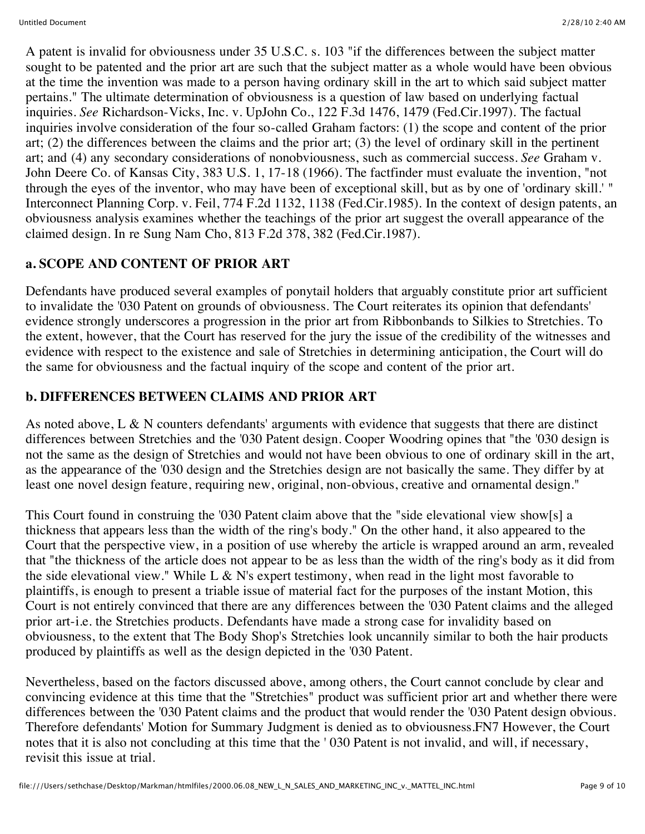A patent is invalid for obviousness under 35 U.S.C. s. 103 "if the differences between the subject matter sought to be patented and the prior art are such that the subject matter as a whole would have been obvious at the time the invention was made to a person having ordinary skill in the art to which said subject matter pertains." The ultimate determination of obviousness is a question of law based on underlying factual inquiries. *See* Richardson-Vicks, Inc. v. UpJohn Co., 122 F.3d 1476, 1479 (Fed.Cir.1997). The factual inquiries involve consideration of the four so-called Graham factors: (1) the scope and content of the prior art; (2) the differences between the claims and the prior art; (3) the level of ordinary skill in the pertinent art; and (4) any secondary considerations of nonobviousness, such as commercial success. *See* Graham v. John Deere Co. of Kansas City, 383 U.S. 1, 17-18 (1966). The factfinder must evaluate the invention, "not through the eyes of the inventor, who may have been of exceptional skill, but as by one of 'ordinary skill.' " Interconnect Planning Corp. v. Feil, 774 F.2d 1132, 1138 (Fed.Cir.1985). In the context of design patents, an obviousness analysis examines whether the teachings of the prior art suggest the overall appearance of the claimed design. In re Sung Nam Cho, 813 F.2d 378, 382 (Fed.Cir.1987).

## **a. SCOPE AND CONTENT OF PRIOR ART**

Defendants have produced several examples of ponytail holders that arguably constitute prior art sufficient to invalidate the '030 Patent on grounds of obviousness. The Court reiterates its opinion that defendants' evidence strongly underscores a progression in the prior art from Ribbonbands to Silkies to Stretchies. To the extent, however, that the Court has reserved for the jury the issue of the credibility of the witnesses and evidence with respect to the existence and sale of Stretchies in determining anticipation, the Court will do the same for obviousness and the factual inquiry of the scope and content of the prior art.

#### **b. DIFFERENCES BETWEEN CLAIMS AND PRIOR ART**

As noted above, L & N counters defendants' arguments with evidence that suggests that there are distinct differences between Stretchies and the '030 Patent design. Cooper Woodring opines that "the '030 design is not the same as the design of Stretchies and would not have been obvious to one of ordinary skill in the art, as the appearance of the '030 design and the Stretchies design are not basically the same. They differ by at least one novel design feature, requiring new, original, non-obvious, creative and ornamental design."

This Court found in construing the '030 Patent claim above that the "side elevational view show[s] a thickness that appears less than the width of the ring's body." On the other hand, it also appeared to the Court that the perspective view, in a position of use whereby the article is wrapped around an arm, revealed that "the thickness of the article does not appear to be as less than the width of the ring's body as it did from the side elevational view." While L & N's expert testimony, when read in the light most favorable to plaintiffs, is enough to present a triable issue of material fact for the purposes of the instant Motion, this Court is not entirely convinced that there are any differences between the '030 Patent claims and the alleged prior art-i.e. the Stretchies products. Defendants have made a strong case for invalidity based on obviousness, to the extent that The Body Shop's Stretchies look uncannily similar to both the hair products produced by plaintiffs as well as the design depicted in the '030 Patent.

Nevertheless, based on the factors discussed above, among others, the Court cannot conclude by clear and convincing evidence at this time that the "Stretchies" product was sufficient prior art and whether there were differences between the '030 Patent claims and the product that would render the '030 Patent design obvious. Therefore defendants' Motion for Summary Judgment is denied as to obviousness.FN7 However, the Court notes that it is also not concluding at this time that the ' 030 Patent is not invalid, and will, if necessary, revisit this issue at trial.